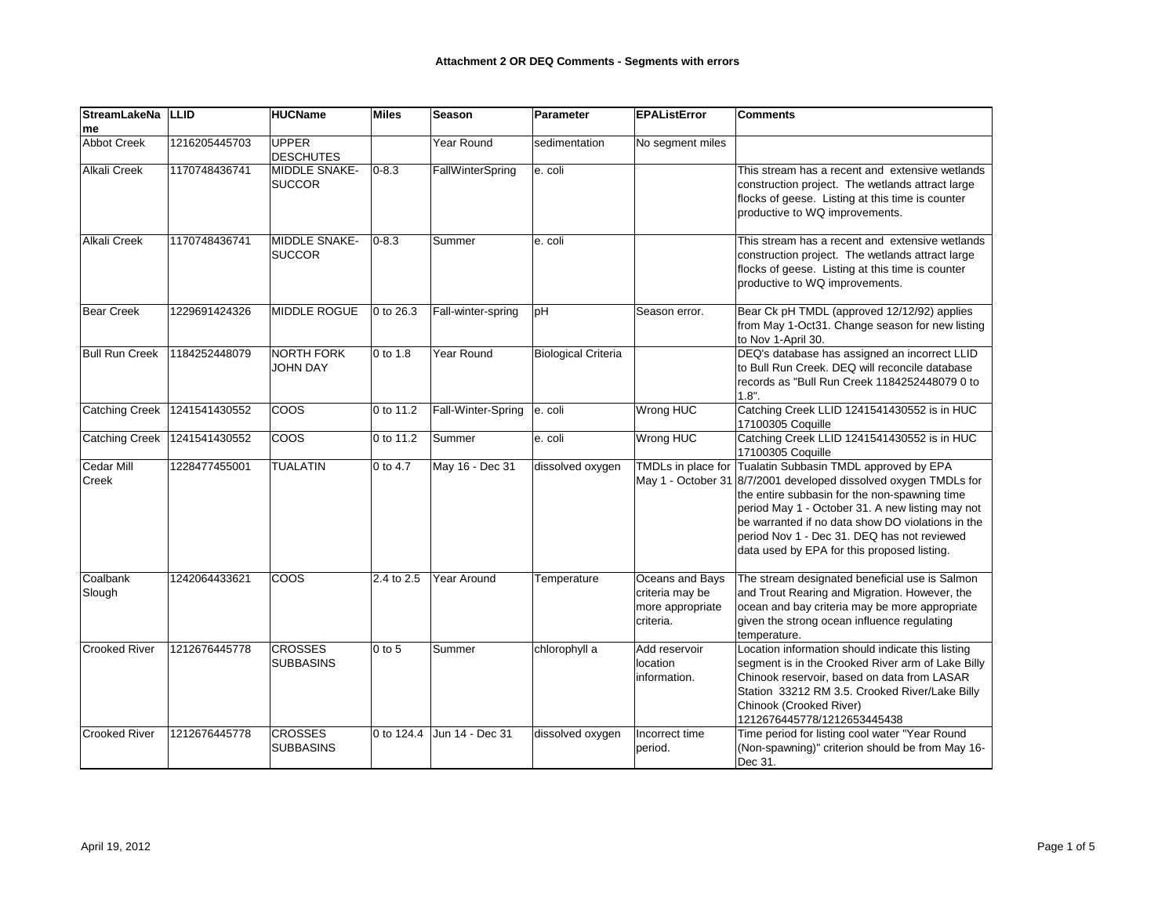| <b>StreamLakeNa</b><br><b>me</b>  | <b>LLID</b>   | <b>HUCName</b>                       | <b>Miles</b> | Season             | Parameter                  | <b>EPAListError</b>                                                 | <b>Comments</b>                                                                                                                                                                                                                                                                                                                                                                       |
|-----------------------------------|---------------|--------------------------------------|--------------|--------------------|----------------------------|---------------------------------------------------------------------|---------------------------------------------------------------------------------------------------------------------------------------------------------------------------------------------------------------------------------------------------------------------------------------------------------------------------------------------------------------------------------------|
| <b>Abbot Creek</b>                | 1216205445703 | <b>UPPER</b><br><b>DESCHUTES</b>     |              | Year Round         | sedimentation              | No segment miles                                                    |                                                                                                                                                                                                                                                                                                                                                                                       |
| <b>Alkali Creek</b>               | 1170748436741 | MIDDLE SNAKE-<br><b>SUCCOR</b>       | $0 - 8.3$    | FallWinterSpring   | e. coli                    |                                                                     | This stream has a recent and extensive wetlands<br>construction project. The wetlands attract large<br>flocks of geese. Listing at this time is counter<br>productive to WQ improvements.                                                                                                                                                                                             |
| <b>Alkali Creek</b>               | 1170748436741 | MIDDLE SNAKE-<br><b>SUCCOR</b>       | $0 - 8.3$    | Summer             | e. coli                    |                                                                     | This stream has a recent and extensive wetlands<br>construction project. The wetlands attract large<br>flocks of geese. Listing at this time is counter<br>productive to WQ improvements.                                                                                                                                                                                             |
| <b>Bear Creek</b>                 | 1229691424326 | <b>MIDDLE ROGUE</b>                  | 0 to 26.3    | Fall-winter-spring | pH                         | Season error.                                                       | Bear Ck pH TMDL (approved 12/12/92) applies<br>from May 1-Oct31. Change season for new listing<br>to Nov 1-April 30.                                                                                                                                                                                                                                                                  |
| <b>Bull Run Creek</b>             | 1184252448079 | <b>NORTH FORK</b><br><b>JOHN DAY</b> | 0 to 1.8     | Year Round         | <b>Biological Criteria</b> |                                                                     | DEQ's database has assigned an incorrect LLID<br>to Bull Run Creek. DEQ will reconcile database<br>records as "Bull Run Creek 1184252448079 0 to<br>$1.8"$ .                                                                                                                                                                                                                          |
| <b>Catching Creek</b>             | 1241541430552 | <b>COOS</b>                          | 0 to 11.2    | Fall-Winter-Spring | e. coli                    | Wrong HUC                                                           | Catching Creek LLID 1241541430552 is in HUC<br>17100305 Coquille                                                                                                                                                                                                                                                                                                                      |
| <b>Catching Creek</b>             | 1241541430552 | <b>COOS</b>                          | 0 to 11.2    | Summer             | e. coli                    | Wrong HUC                                                           | Catching Creek LLID 1241541430552 is in HUC<br>17100305 Coquille                                                                                                                                                                                                                                                                                                                      |
| <b>Cedar Mill</b><br><b>Creek</b> | 1228477455001 | <b>TUALATIN</b>                      | 0 to 4.7     | May 16 - Dec 31    | dissolved oxygen           |                                                                     | TMDLs in place for Tualatin Subbasin TMDL approved by EPA<br>May 1 - October 31 8/7/2001 developed dissolved oxygen TMDLs for<br>the entire subbasin for the non-spawning time<br>period May 1 - October 31. A new listing may not<br>be warranted if no data show DO violations in the<br>period Nov 1 - Dec 31. DEQ has not reviewed<br>data used by EPA for this proposed listing. |
| Coalbank<br>Slough                | 1242064433621 | <b>COOS</b>                          | 2.4 to 2.5   | Year Around        | Temperature                | Oceans and Bays<br>criteria may be<br>more appropriate<br>criteria. | The stream designated beneficial use is Salmon<br>and Trout Rearing and Migration. However, the<br>ocean and bay criteria may be more appropriate<br>given the strong ocean influence regulating<br>temperature.                                                                                                                                                                      |
| <b>Crooked River</b>              | 1212676445778 | <b>CROSSES</b><br>SUBBASINS          | $0$ to 5     | Summer             | chlorophyll a              | Add reservoir<br>location<br>information.                           | Location information should indicate this listing<br>segment is in the Crooked River arm of Lake Billy<br>Chinook reservoir, based on data from LASAR<br>Station 33212 RM 3.5. Crooked River/Lake Billy<br>Chinook (Crooked River)<br>1212676445778/1212653445438                                                                                                                     |
| <b>Crooked River</b>              | 1212676445778 | <b>CROSSES</b><br><b>SUBBASINS</b>   | 0 to 124.4   | Jun 14 - Dec 31    | dissolved oxygen           | Incorrect time<br>period.                                           | Time period for listing cool water "Year Round<br>(Non-spawning)" criterion should be from May 16-<br>Dec 31.                                                                                                                                                                                                                                                                         |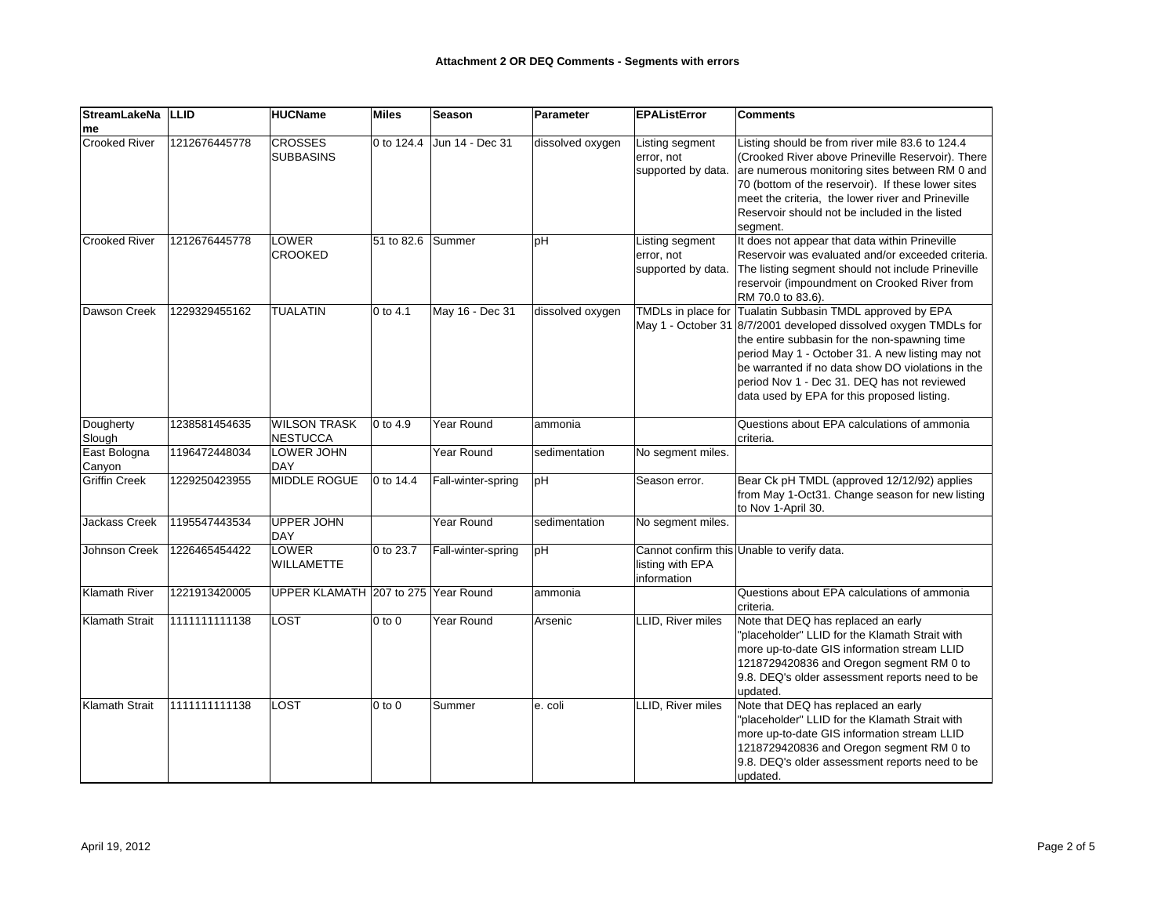| StreamLakeNa   LLID    |               | <b>HUCName</b>                      | <b>Miles</b>         | <b>Season</b>      | Parameter        | <b>EPAListError</b>                                 | <b>Comments</b>                                                                                                                                                                                                                                                                                                                                                    |
|------------------------|---------------|-------------------------------------|----------------------|--------------------|------------------|-----------------------------------------------------|--------------------------------------------------------------------------------------------------------------------------------------------------------------------------------------------------------------------------------------------------------------------------------------------------------------------------------------------------------------------|
| me                     |               |                                     |                      |                    |                  |                                                     |                                                                                                                                                                                                                                                                                                                                                                    |
| <b>Crooked River</b>   | 1212676445778 | <b>CROSSES</b><br><b>SUBBASINS</b>  | 0 to 124.4           | Jun 14 - Dec 31    | dissolved oxygen | Listing segment<br>error, not<br>supported by data. | Listing should be from river mile 83.6 to 124.4<br>(Crooked River above Prineville Reservoir). There<br>are numerous monitoring sites between RM 0 and<br>70 (bottom of the reservoir). If these lower sites<br>meet the criteria, the lower river and Prineville<br>Reservoir should not be included in the listed<br>segment.                                    |
| <b>Crooked River</b>   | 1212676445778 | <b>LOWER</b><br><b>CROOKED</b>      | 51 to 82.6           | Summer             | pH               | Listing segment<br>error, not<br>supported by data. | It does not appear that data within Prineville<br>Reservoir was evaluated and/or exceeded criteria.<br>The listing segment should not include Prineville<br>reservoir (impoundment on Crooked River from<br>RM 70.0 to 83.6).                                                                                                                                      |
| <b>Dawson Creek</b>    | 1229329455162 | <b>TUALATIN</b>                     | $0$ to 4.1           | May 16 - Dec 31    | dissolved oxygen | TMDLs in place for                                  | Tualatin Subbasin TMDL approved by EPA<br>May 1 - October 31 8/7/2001 developed dissolved oxygen TMDLs for<br>the entire subbasin for the non-spawning time<br>period May 1 - October 31. A new listing may not<br>be warranted if no data show DO violations in the<br>period Nov 1 - Dec 31. DEQ has not reviewed<br>data used by EPA for this proposed listing. |
| Dougherty<br>Slough    | 1238581454635 | <b>WILSON TRASK</b><br>NESTUCCA     | $ 0 \text{ to } 4.9$ | Year Round         | ammonia          |                                                     | Questions about EPA calculations of ammonia<br>criteria.                                                                                                                                                                                                                                                                                                           |
| East Bologna<br>Canyon | 1196472448034 | LOWER JOHN<br><b>DAY</b>            |                      | Year Round         | sedimentation    | No segment miles.                                   |                                                                                                                                                                                                                                                                                                                                                                    |
| Griffin Creek          | 1229250423955 | <b>MIDDLE ROGUE</b>                 | 0 to 14.4            | Fall-winter-spring | pH               | Season error.                                       | Bear Ck pH TMDL (approved 12/12/92) applies<br>from May 1-Oct31. Change season for new listing<br>to Nov 1-April 30.                                                                                                                                                                                                                                               |
| Jackass Creek          | 1195547443534 | <b>UPPER JOHN</b><br><b>DAY</b>     |                      | Year Round         | sedimentation    | No segment miles.                                   |                                                                                                                                                                                                                                                                                                                                                                    |
| Johnson Creek          | 1226465454422 | <b>LOWER</b><br><b>WILLAMETTE</b>   | 0 to 23.7            | Fall-winter-spring | pH               | listing with EPA<br>information                     | Cannot confirm this Unable to verify data.                                                                                                                                                                                                                                                                                                                         |
| <b>Klamath River</b>   | 1221913420005 | UPPER KLAMATH 207 to 275 Year Round |                      |                    | ammonia          |                                                     | Questions about EPA calculations of ammonia<br>criteria.                                                                                                                                                                                                                                                                                                           |
| <b>Klamath Strait</b>  | 1111111111138 | <b>LOST</b>                         | $0$ to $0$           | Year Round         | Arsenic          | LLID, River miles                                   | Note that DEQ has replaced an early<br>"placeholder" LLID for the Klamath Strait with<br>more up-to-date GIS information stream LLID<br>1218729420836 and Oregon segment RM 0 to<br>9.8. DEQ's older assessment reports need to be<br>updated.                                                                                                                     |
| <b>Klamath Strait</b>  | 1111111111138 | <b>LOST</b>                         | $0$ to $0$           | Summer             | e. coli          | LLID, River miles                                   | Note that DEQ has replaced an early<br>"placeholder" LLID for the Klamath Strait with<br>more up-to-date GIS information stream LLID<br>1218729420836 and Oregon segment RM 0 to<br>9.8. DEQ's older assessment reports need to be<br>updated.                                                                                                                     |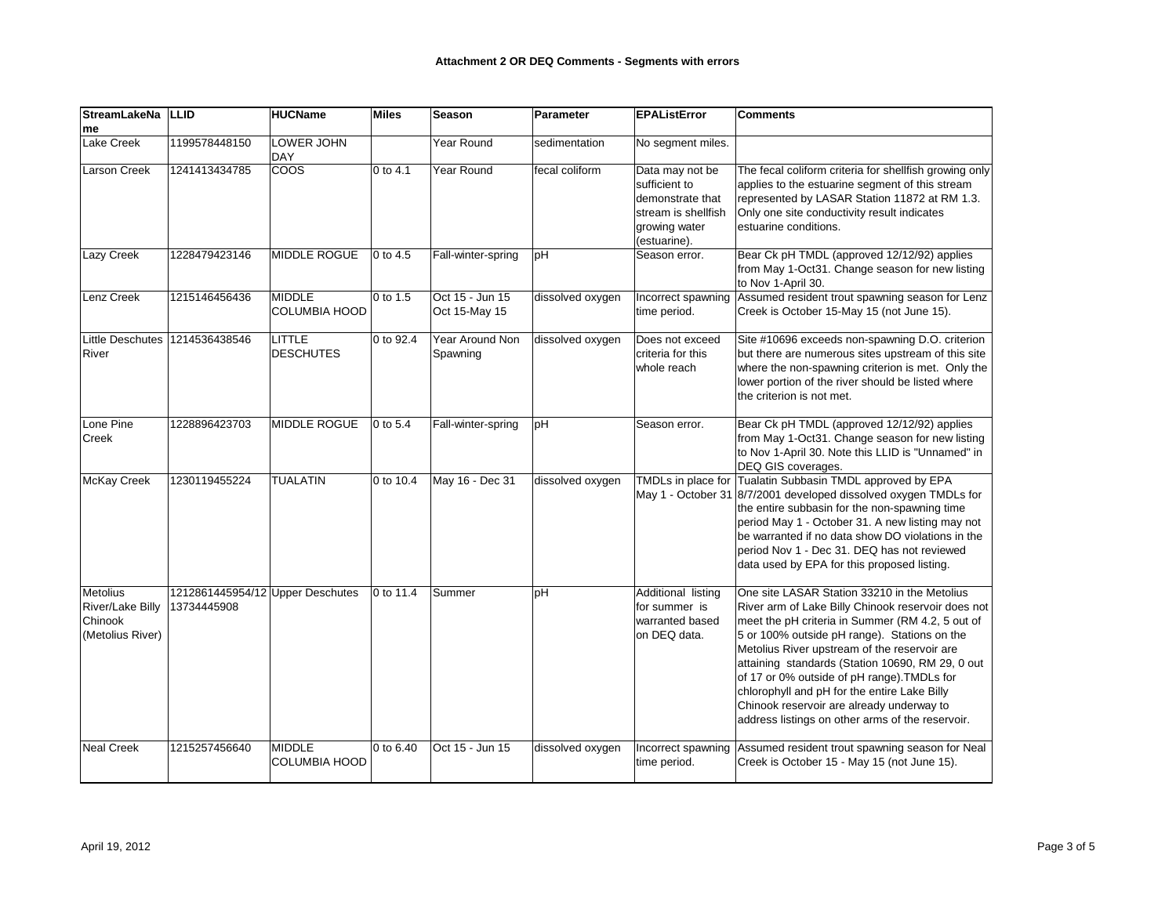| <b>StreamLakeNa</b>                                                       | <b>LLID</b>                      | <b>HUCName</b>                    | <b>Miles</b>         | Season                             | Parameter        | <b>EPAListError</b>                                                                                          | <b>Comments</b>                                                                                                                                                                                                                                                                                                                                                                                                                                                                                            |
|---------------------------------------------------------------------------|----------------------------------|-----------------------------------|----------------------|------------------------------------|------------------|--------------------------------------------------------------------------------------------------------------|------------------------------------------------------------------------------------------------------------------------------------------------------------------------------------------------------------------------------------------------------------------------------------------------------------------------------------------------------------------------------------------------------------------------------------------------------------------------------------------------------------|
| me                                                                        |                                  |                                   |                      |                                    |                  |                                                                                                              |                                                                                                                                                                                                                                                                                                                                                                                                                                                                                                            |
| Lake Creek                                                                | 1199578448150                    | LOWER JOHN<br><b>DAY</b>          |                      | Year Round                         | sedimentation    | No segment miles.                                                                                            |                                                                                                                                                                                                                                                                                                                                                                                                                                                                                                            |
| <b>Larson Creek</b>                                                       | 1241413434785                    | coos                              | $0$ to 4.1           | Year Round                         | fecal coliform   | Data may not be<br>sufficient to<br>demonstrate that<br>stream is shellfish<br>growing water<br>(estuarine). | The fecal coliform criteria for shellfish growing only<br>applies to the estuarine segment of this stream<br>represented by LASAR Station 11872 at RM 1.3.<br>Only one site conductivity result indicates<br>estuarine conditions.                                                                                                                                                                                                                                                                         |
| Lazy Creek                                                                | 1228479423146                    | <b>MIDDLE ROGUE</b>               | $0$ to 4.5           | Fall-winter-spring                 | pH               | Season error.                                                                                                | Bear Ck pH TMDL (approved 12/12/92) applies<br>from May 1-Oct31. Change season for new listing<br>to Nov 1-April 30.                                                                                                                                                                                                                                                                                                                                                                                       |
| Lenz Creek                                                                | 1215146456436                    | MIDDLE<br><b>COLUMBIA HOOD</b>    | $ 0 \text{ to } 1.5$ | Oct 15 - Jun 15<br>Oct 15-May 15   | dissolved oxygen | Incorrect spawning<br>time period.                                                                           | Assumed resident trout spawning season for Lenz<br>Creek is October 15-May 15 (not June 15).                                                                                                                                                                                                                                                                                                                                                                                                               |
| <b>Little Deschutes</b><br>River                                          | 1214536438546                    | <b>LITTLE</b><br><b>DESCHUTES</b> | 0 to 92.4            | <b>Year Around Non</b><br>Spawning | dissolved oxygen | Does not exceed<br>criteria for this<br>whole reach                                                          | Site #10696 exceeds non-spawning D.O. criterion<br>but there are numerous sites upstream of this site<br>where the non-spawning criterion is met. Only the<br>lower portion of the river should be listed where<br>the criterion is not met.                                                                                                                                                                                                                                                               |
| Lone Pine<br>Creek                                                        | 1228896423703                    | MIDDLE ROGUE                      | $0$ to 5.4           | Fall-winter-spring                 | pH               | Season error.                                                                                                | Bear Ck pH TMDL (approved 12/12/92) applies<br>from May 1-Oct31. Change season for new listing<br>to Nov 1-April 30. Note this LLID is "Unnamed" in<br>DEQ GIS coverages.                                                                                                                                                                                                                                                                                                                                  |
| <b>McKay Creek</b>                                                        | 1230119455224                    | <b>TUALATIN</b>                   | 0 to 10.4            | May 16 - Dec 31                    | dissolved oxygen |                                                                                                              | TMDLs in place for Tualatin Subbasin TMDL approved by EPA<br>May 1 - October 31 8/7/2001 developed dissolved oxygen TMDLs for<br>the entire subbasin for the non-spawning time<br>period May 1 - October 31. A new listing may not<br>be warranted if no data show DO violations in the<br>period Nov 1 - Dec 31. DEQ has not reviewed<br>data used by EPA for this proposed listing.                                                                                                                      |
| Metolius<br>River/Lake Billy   13734445908<br>Chinook<br>(Metolius River) | 1212861445954/12 Upper Deschutes |                                   | 0 to 11.4            | Summer                             | pH               | Additional listing<br>for summer is<br>warranted based<br>on DEQ data.                                       | One site LASAR Station 33210 in the Metolius<br>River arm of Lake Billy Chinook reservoir does not<br>meet the pH criteria in Summer (RM 4.2, 5 out of<br>5 or 100% outside pH range). Stations on the<br>Metolius River upstream of the reservoir are<br>attaining standards (Station 10690, RM 29, 0 out<br>of 17 or 0% outside of pH range). TMDLs for<br>chlorophyll and pH for the entire Lake Billy<br>Chinook reservoir are already underway to<br>address listings on other arms of the reservoir. |
| <b>Neal Creek</b>                                                         | 1215257456640                    | MIDDLE<br><b>COLUMBIA HOOD</b>    | 0 to 6.40            | Oct 15 - Jun 15                    | dissolved oxygen | Incorrect spawning<br>time period.                                                                           | Assumed resident trout spawning season for Neal<br>Creek is October 15 - May 15 (not June 15).                                                                                                                                                                                                                                                                                                                                                                                                             |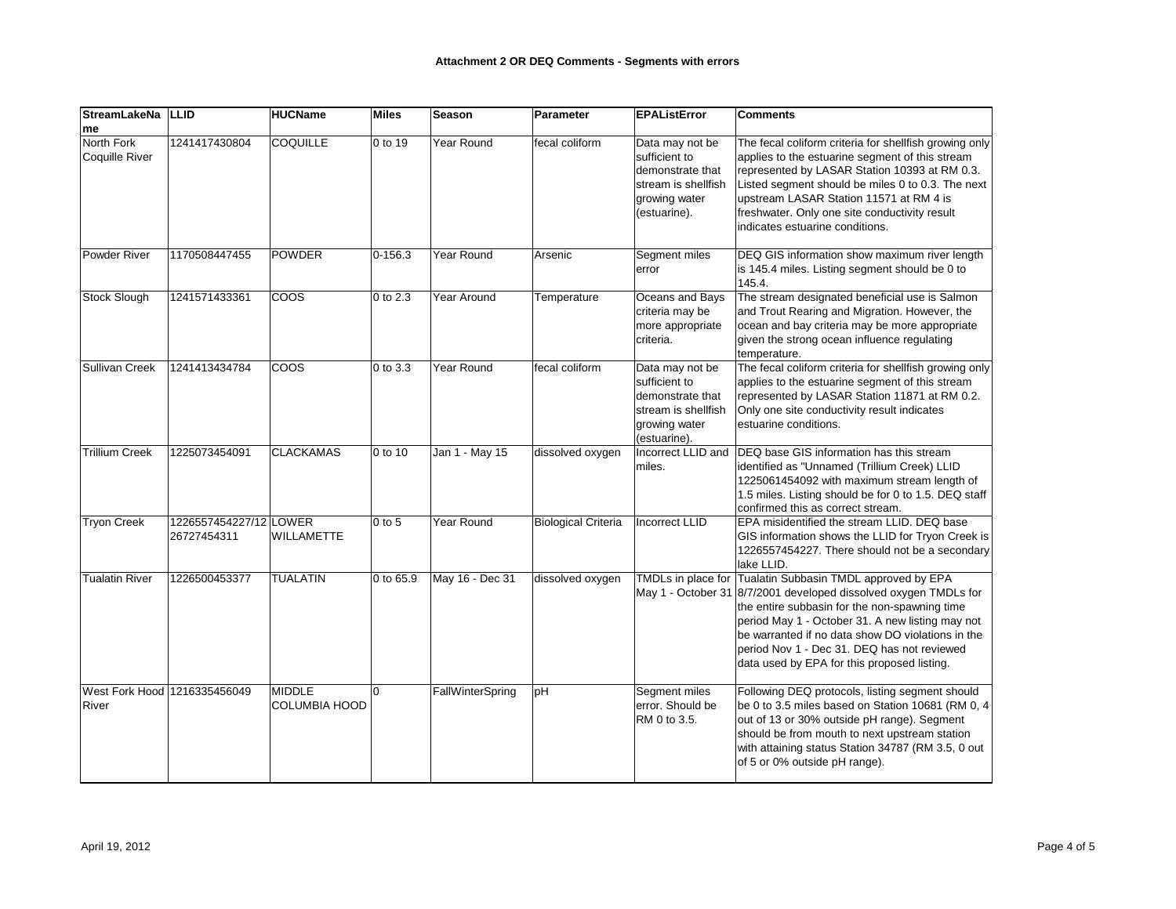| <b>StreamLakeNa</b>                   | <b>LLID</b>                           | <b>HUCName</b>                        | <b>Miles</b>         | <b>Season</b>    | Parameter                  | <b>EPAListError</b>                                                                                          | <b>Comments</b>                                                                                                                                                                                                                                                                                                                                                                       |
|---------------------------------------|---------------------------------------|---------------------------------------|----------------------|------------------|----------------------------|--------------------------------------------------------------------------------------------------------------|---------------------------------------------------------------------------------------------------------------------------------------------------------------------------------------------------------------------------------------------------------------------------------------------------------------------------------------------------------------------------------------|
| me                                    |                                       |                                       |                      |                  |                            |                                                                                                              |                                                                                                                                                                                                                                                                                                                                                                                       |
| North Fork<br>Coquille River          | 1241417430804                         | <b>COQUILLE</b>                       | 0 to 19              | Year Round       | fecal coliform             | Data may not be<br>sufficient to<br>demonstrate that<br>stream is shellfish<br>growing water<br>(estuarine). | The fecal coliform criteria for shellfish growing only<br>applies to the estuarine segment of this stream<br>represented by LASAR Station 10393 at RM 0.3.<br>Listed segment should be miles 0 to 0.3. The next<br>upstream LASAR Station 11571 at RM 4 is<br>freshwater. Only one site conductivity result<br>indicates estuarine conditions.                                        |
| Powder River                          | 1170508447455                         | POWDER                                | $ 0 - 156.3$         | Year Round       | Arsenic                    | Segment miles<br>error                                                                                       | DEQ GIS information show maximum river length<br>is 145.4 miles. Listing segment should be 0 to<br>145.4.                                                                                                                                                                                                                                                                             |
| <b>Stock Slough</b>                   | 1241571433361                         | <b>COOS</b>                           | $0$ to 2.3           | Year Around      | Temperature                | Oceans and Bays<br>criteria may be<br>more appropriate<br>criteria.                                          | The stream designated beneficial use is Salmon<br>and Trout Rearing and Migration. However, the<br>ocean and bay criteria may be more appropriate<br>given the strong ocean influence regulating<br>temperature.                                                                                                                                                                      |
| <b>Sullivan Creek</b>                 | 1241413434784                         | <b>COOS</b>                           | $ 0 \text{ to } 3.3$ | Year Round       | fecal coliform             | Data may not be<br>sufficient to<br>demonstrate that<br>stream is shellfish<br>growing water<br>(estuarine). | The fecal coliform criteria for shellfish growing only<br>applies to the estuarine segment of this stream<br>represented by LASAR Station 11871 at RM 0.2.<br>Only one site conductivity result indicates<br>estuarine conditions.                                                                                                                                                    |
| <b>Trillium Creek</b>                 | 1225073454091                         | <b>CLACKAMAS</b>                      | 0 to 10              | Jan 1 - May 15   | dissolved oxygen           | Incorrect LLID and<br>miles.                                                                                 | DEQ base GIS information has this stream<br>identified as "Unnamed (Trillium Creek) LLID<br>1225061454092 with maximum stream length of<br>1.5 miles. Listing should be for 0 to 1.5. DEQ staff<br>confirmed this as correct stream.                                                                                                                                                  |
| <b>Tryon Creek</b>                    | 1226557454227/12 LOWER<br>26727454311 | <b>WILLAMETTE</b>                     | $0$ to 5             | Year Round       | <b>Biological Criteria</b> | <b>Incorrect LLID</b>                                                                                        | EPA misidentified the stream LLID. DEQ base<br>GIS information shows the LLID for Tryon Creek is<br>1226557454227. There should not be a secondary<br>lake LLID.                                                                                                                                                                                                                      |
| Tualatin River                        | 1226500453377                         | <b>TUALATIN</b>                       | 0 to 65.9            | May 16 - Dec 31  | dissolved oxygen           |                                                                                                              | TMDLs in place for Tualatin Subbasin TMDL approved by EPA<br>May 1 - October 31 8/7/2001 developed dissolved oxygen TMDLs for<br>the entire subbasin for the non-spawning time<br>period May 1 - October 31. A new listing may not<br>be warranted if no data show DO violations in the<br>period Nov 1 - Dec 31. DEQ has not reviewed<br>data used by EPA for this proposed listing. |
| West Fork Hood 1216335456049<br>River |                                       | <b>MIDDLE</b><br><b>COLUMBIA HOOD</b> | 10                   | FallWinterSpring | pH                         | Segment miles<br>error. Should be<br>RM 0 to 3.5.                                                            | Following DEQ protocols, listing segment should<br>be 0 to 3.5 miles based on Station 10681 (RM 0, 4<br>out of 13 or 30% outside pH range). Segment<br>should be from mouth to next upstream station<br>with attaining status Station 34787 (RM 3.5, 0 out<br>of 5 or 0% outside pH range).                                                                                           |